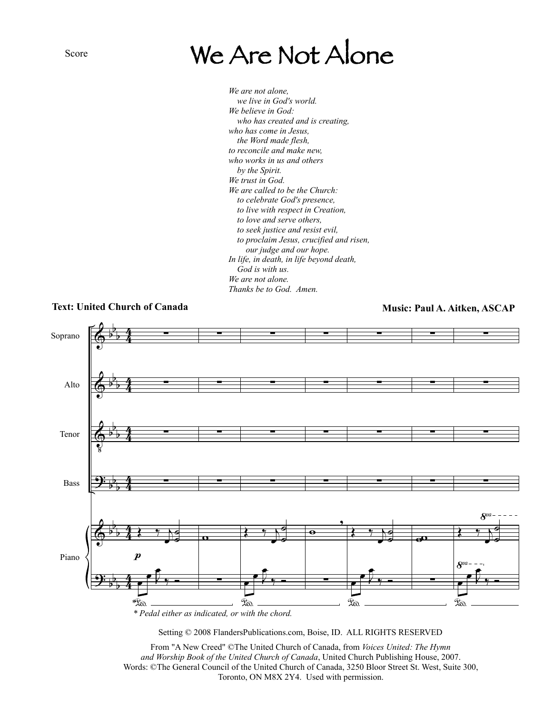## We Are Not Alone

*We are not alone, we live in God's world. We believe in God: who has created and is creating, who has come in Jesus, the Word made flesh, to reconcile and make new, who works in us and others by the Spirit. We trust in God. We are called to be the Church: to celebrate God's presence, to live with respect in Creation, to love and serve others, to seek justice and resist evil, to proclaim Jesus, crucified and risen, our judge and our hope. In life, in death, in life beyond death, God is with us. We are not alone. Thanks be to God. Amen.*



**Music: Paul A. Aitken, ASCAP**



Setting © 2008 FlandersPublications.com, Boise, ID. ALL RIGHTS RESERVED

From "A New Creed" ©The United Church of Canada, from *Voices United: The Hymn and Worship Book of the United Church of Canada*, United Church Publishing House, 2007. Words: ©The General Council of the United Church of Canada, 3250 Bloor Street St. West, Suite 300, Toronto, ON M8X 2Y4. Used with permission.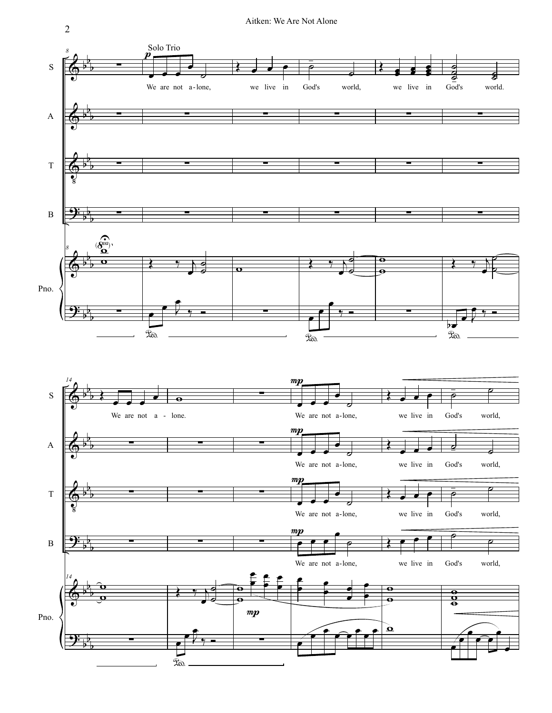

2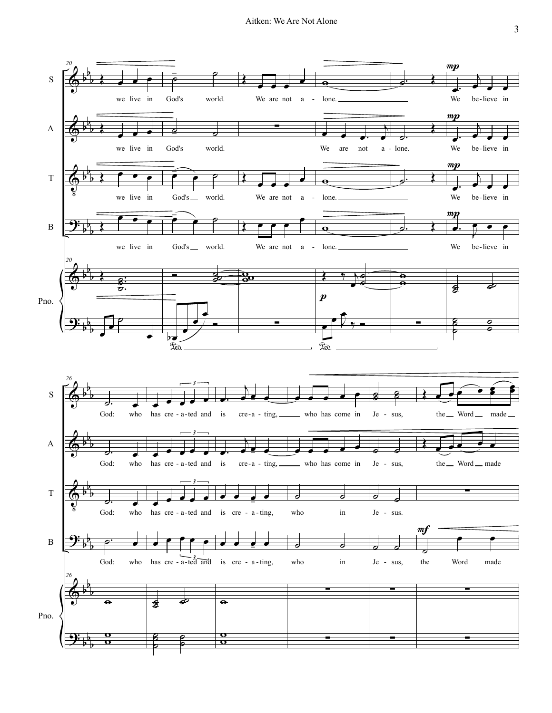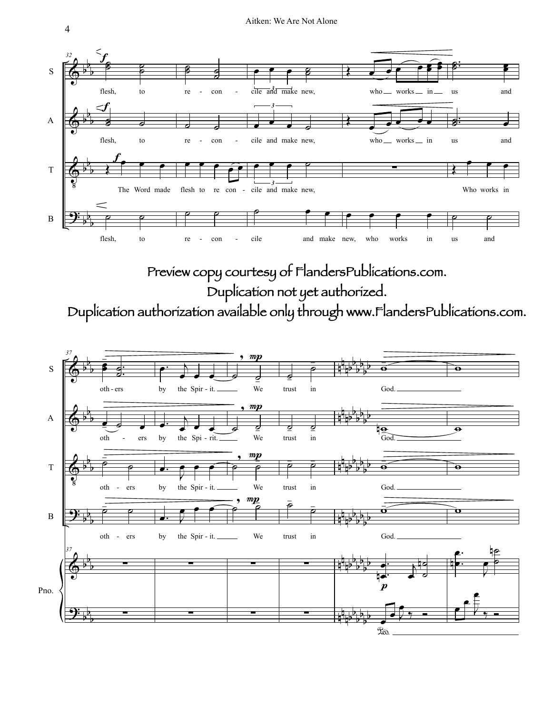Aitken: We Are Not Alone



Preview copy courtesy of FlandersPublications.com. Duplication not yet authorized.

Duplication authorization available only through www.FlandersPublications.com.



4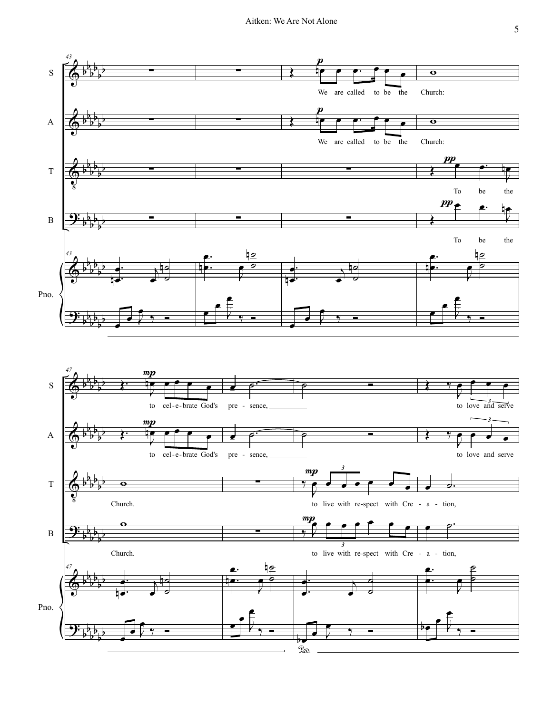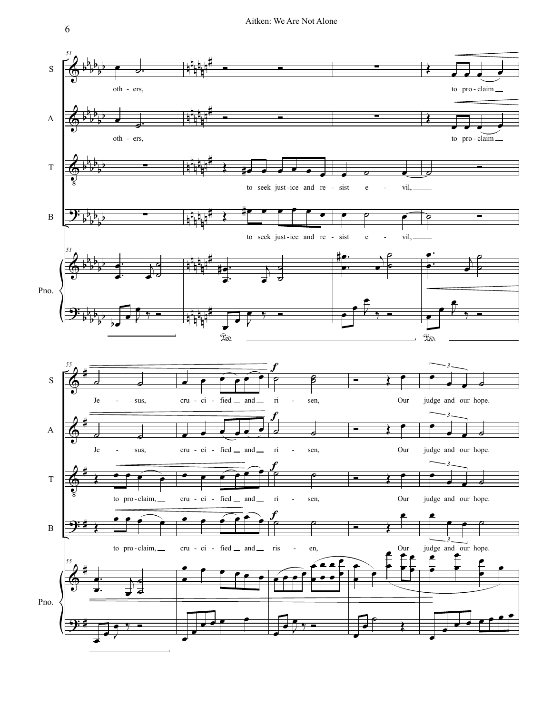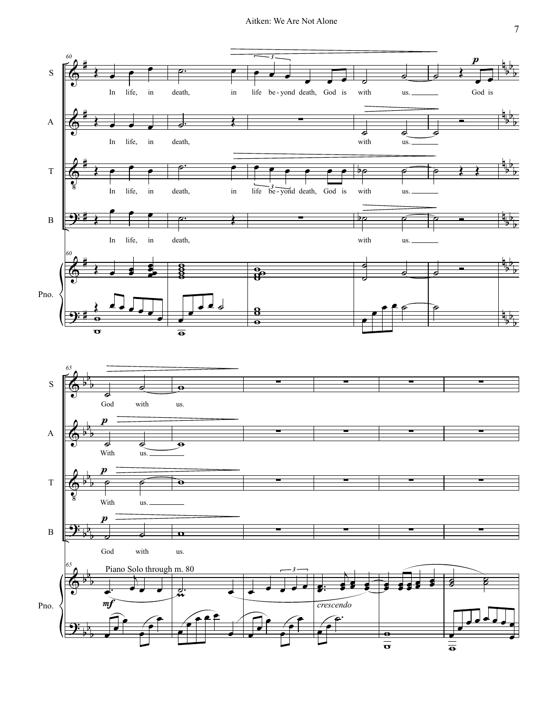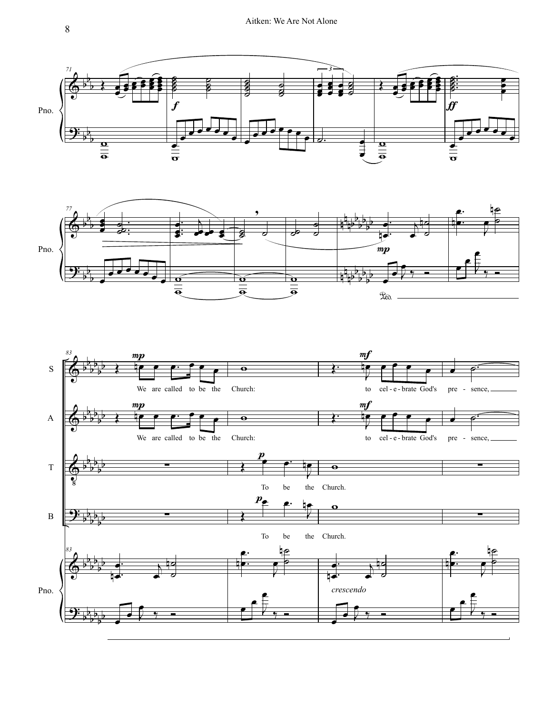



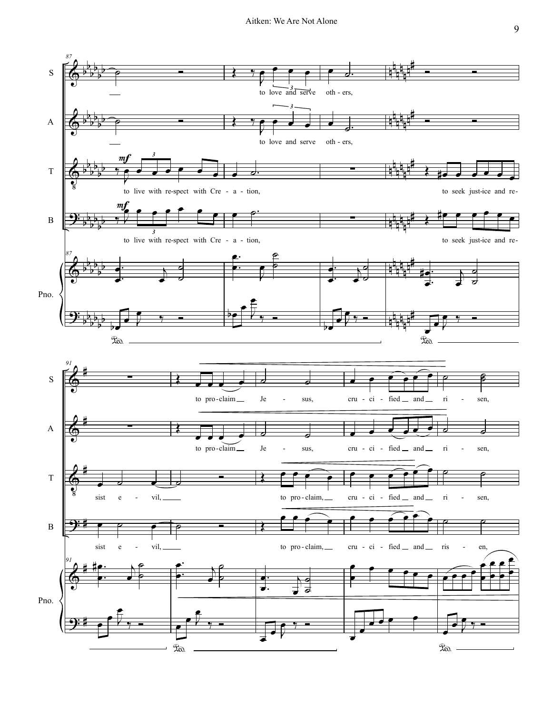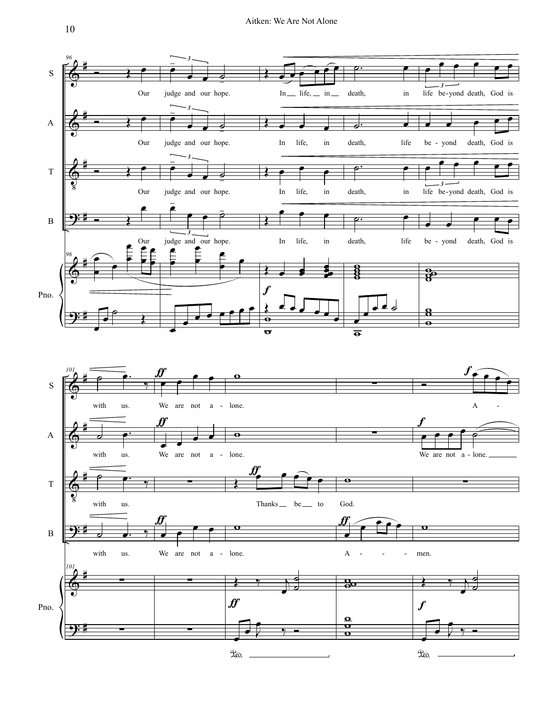Aitken: We Are Not Alone



10